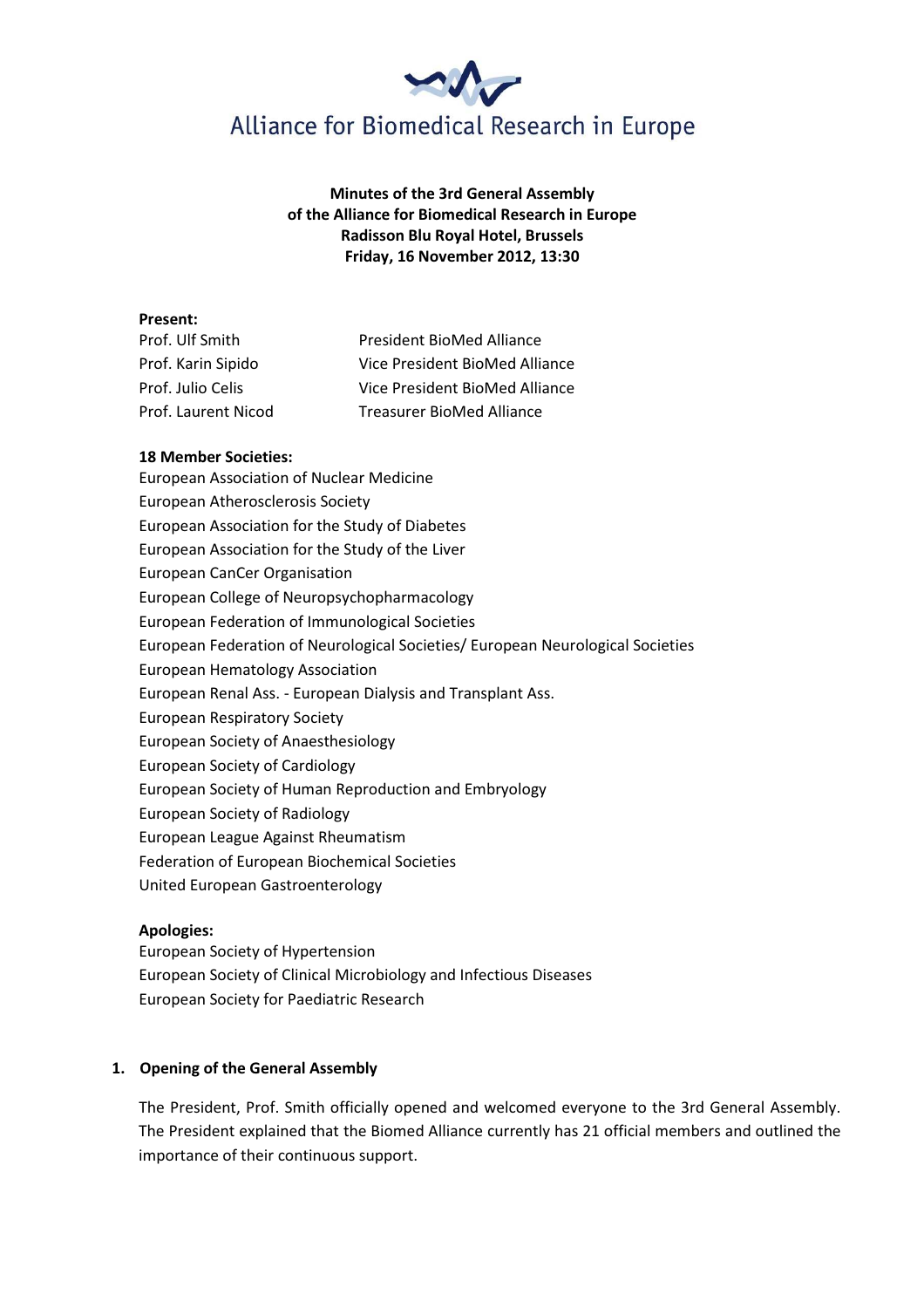

# Minutes of the 3rd General Assembly of the Alliance for Biomedical Research in Europe Radisson Blu Royal Hotel, Brussels Friday, 16 November 2012, 13:30

### Present:

| Prof. Ulf Smith     | President BioMed Alliance        |
|---------------------|----------------------------------|
| Prof. Karin Sipido  | Vice President BioMed Alliance   |
| Prof. Julio Celis   | Vice President BioMed Alliance   |
| Prof. Laurent Nicod | <b>Treasurer BioMed Alliance</b> |

## 18 Member Societies:

European Association of Nuclear Medicine European Atherosclerosis Society European Association for the Study of Diabetes European Association for the Study of the Liver European CanCer Organisation European College of Neuropsychopharmacology European Federation of Immunological Societies European Federation of Neurological Societies/ European Neurological Societies European Hematology Association European Renal Ass. - European Dialysis and Transplant Ass. European Respiratory Society European Society of Anaesthesiology European Society of Cardiology European Society of Human Reproduction and Embryology European Society of Radiology European League Against Rheumatism Federation of European Biochemical Societies United European Gastroenterology

# Apologies:

European Society of Hypertension European Society of Clinical Microbiology and Infectious Diseases European Society for Paediatric Research

# 1. Opening of the General Assembly

The President, Prof. Smith officially opened and welcomed everyone to the 3rd General Assembly. The President explained that the Biomed Alliance currently has 21 official members and outlined the importance of their continuous support.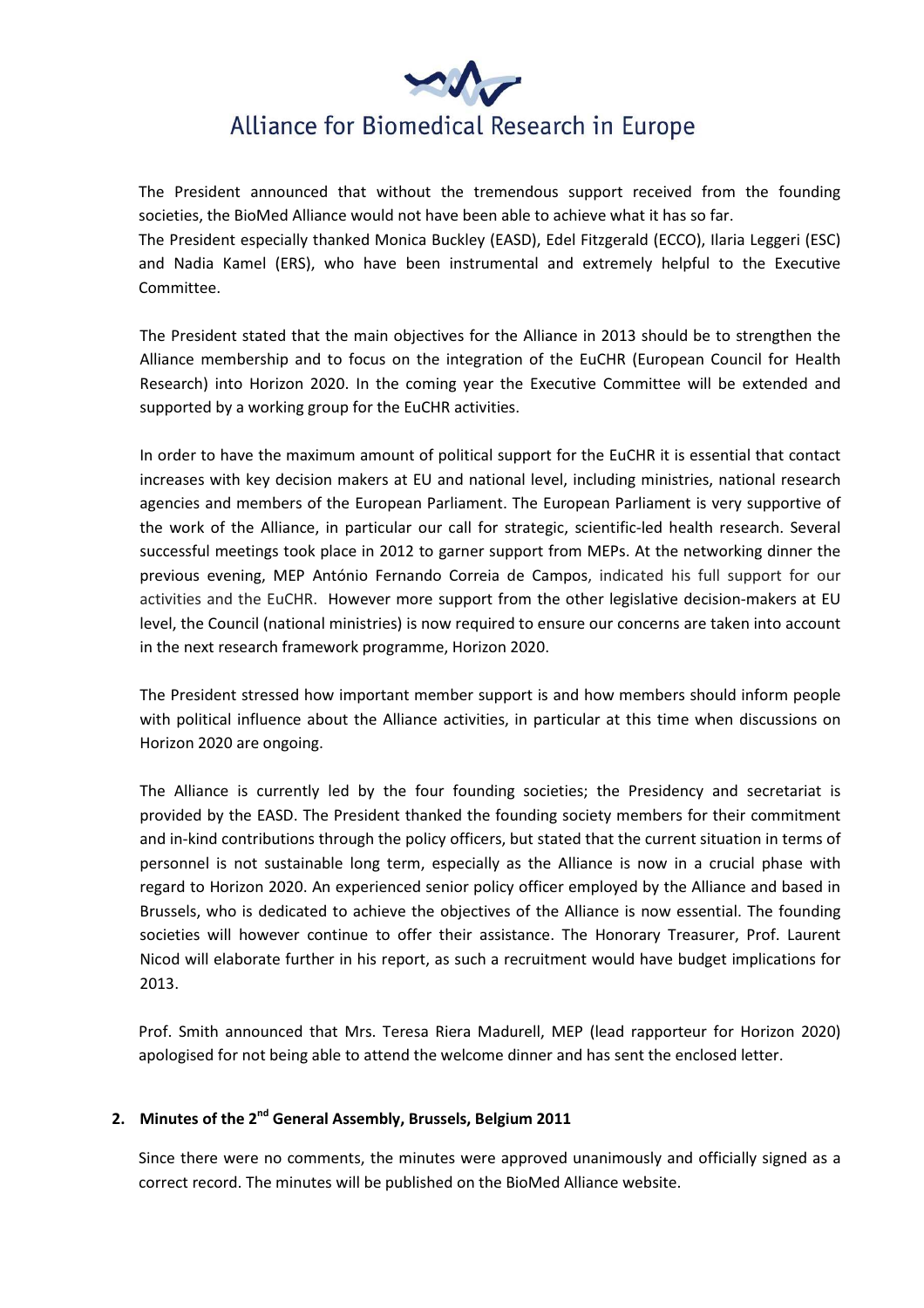

The President announced that without the tremendous support received from the founding societies, the BioMed Alliance would not have been able to achieve what it has so far. The President especially thanked Monica Buckley (EASD), Edel Fitzgerald (ECCO), Ilaria Leggeri (ESC) and Nadia Kamel (ERS), who have been instrumental and extremely helpful to the Executive Committee.

The President stated that the main objectives for the Alliance in 2013 should be to strengthen the Alliance membership and to focus on the integration of the EuCHR (European Council for Health Research) into Horizon 2020. In the coming year the Executive Committee will be extended and supported by a working group for the EuCHR activities.

In order to have the maximum amount of political support for the EuCHR it is essential that contact increases with key decision makers at EU and national level, including ministries, national research agencies and members of the European Parliament. The European Parliament is very supportive of the work of the Alliance, in particular our call for strategic, scientific-led health research. Several successful meetings took place in 2012 to garner support from MEPs. At the networking dinner the previous evening, MEP António Fernando Correia de Campos, indicated his full support for our activities and the EuCHR. However more support from the other legislative decision-makers at EU level, the Council (national ministries) is now required to ensure our concerns are taken into account in the next research framework programme, Horizon 2020.

The President stressed how important member support is and how members should inform people with political influence about the Alliance activities, in particular at this time when discussions on Horizon 2020 are ongoing.

The Alliance is currently led by the four founding societies; the Presidency and secretariat is provided by the EASD. The President thanked the founding society members for their commitment and in-kind contributions through the policy officers, but stated that the current situation in terms of personnel is not sustainable long term, especially as the Alliance is now in a crucial phase with regard to Horizon 2020. An experienced senior policy officer employed by the Alliance and based in Brussels, who is dedicated to achieve the objectives of the Alliance is now essential. The founding societies will however continue to offer their assistance. The Honorary Treasurer, Prof. Laurent Nicod will elaborate further in his report, as such a recruitment would have budget implications for 2013.

Prof. Smith announced that Mrs. Teresa Riera Madurell, MEP (lead rapporteur for Horizon 2020) apologised for not being able to attend the welcome dinner and has sent the enclosed letter.

# 2. Minutes of the  $2^{nd}$  General Assembly, Brussels, Belgium 2011

Since there were no comments, the minutes were approved unanimously and officially signed as a correct record. The minutes will be published on the BioMed Alliance website.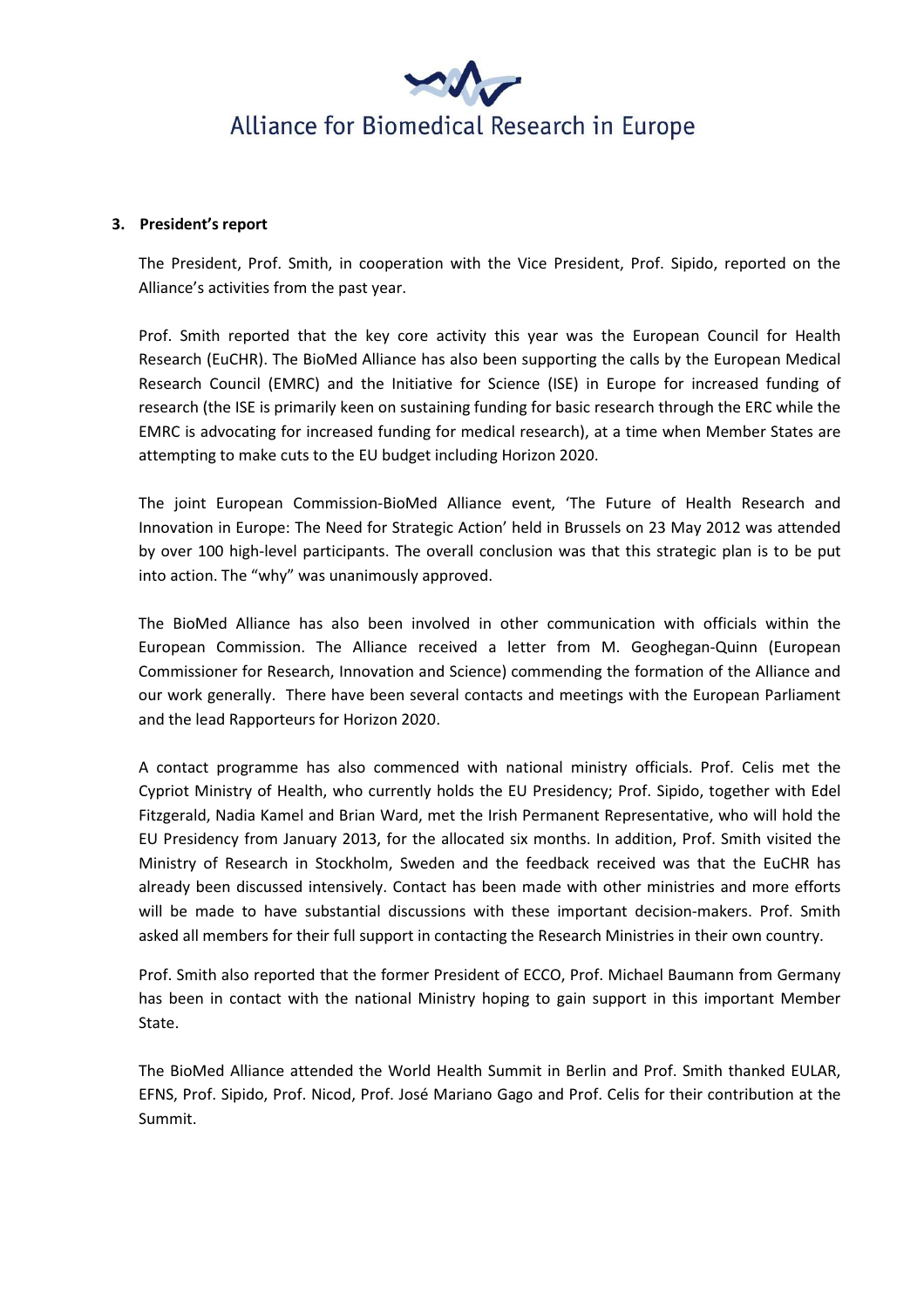

### 3. President's report

The President, Prof. Smith, in cooperation with the Vice President, Prof. Sipido, reported on the Alliance's activities from the past year.

Prof. Smith reported that the key core activity this year was the European Council for Health Research (EuCHR). The BioMed Alliance has also been supporting the calls by the European Medical Research Council (EMRC) and the Initiative for Science (ISE) in Europe for increased funding of research (the ISE is primarily keen on sustaining funding for basic research through the ERC while the EMRC is advocating for increased funding for medical research), at a time when Member States are attempting to make cuts to the EU budget including Horizon 2020.

The joint European Commission-BioMed Alliance event, 'The Future of Health Research and Innovation in Europe: The Need for Strategic Action' held in Brussels on 23 May 2012 was attended by over 100 high-level participants. The overall conclusion was that this strategic plan is to be put into action. The "why" was unanimously approved.

The BioMed Alliance has also been involved in other communication with officials within the European Commission. The Alliance received a letter from M. Geoghegan-Quinn (European Commissioner for Research, Innovation and Science) commending the formation of the Alliance and our work generally. There have been several contacts and meetings with the European Parliament and the lead Rapporteurs for Horizon 2020.

A contact programme has also commenced with national ministry officials. Prof. Celis met the Cypriot Ministry of Health, who currently holds the EU Presidency; Prof. Sipido, together with Edel Fitzgerald, Nadia Kamel and Brian Ward, met the Irish Permanent Representative, who will hold the EU Presidency from January 2013, for the allocated six months. In addition, Prof. Smith visited the Ministry of Research in Stockholm, Sweden and the feedback received was that the EuCHR has already been discussed intensively. Contact has been made with other ministries and more efforts will be made to have substantial discussions with these important decision-makers. Prof. Smith asked all members for their full support in contacting the Research Ministries in their own country.

Prof. Smith also reported that the former President of ECCO, Prof. Michael Baumann from Germany has been in contact with the national Ministry hoping to gain support in this important Member State.

The BioMed Alliance attended the World Health Summit in Berlin and Prof. Smith thanked EULAR, EFNS, Prof. Sipido, Prof. Nicod, Prof. José Mariano Gago and Prof. Celis for their contribution at the Summit.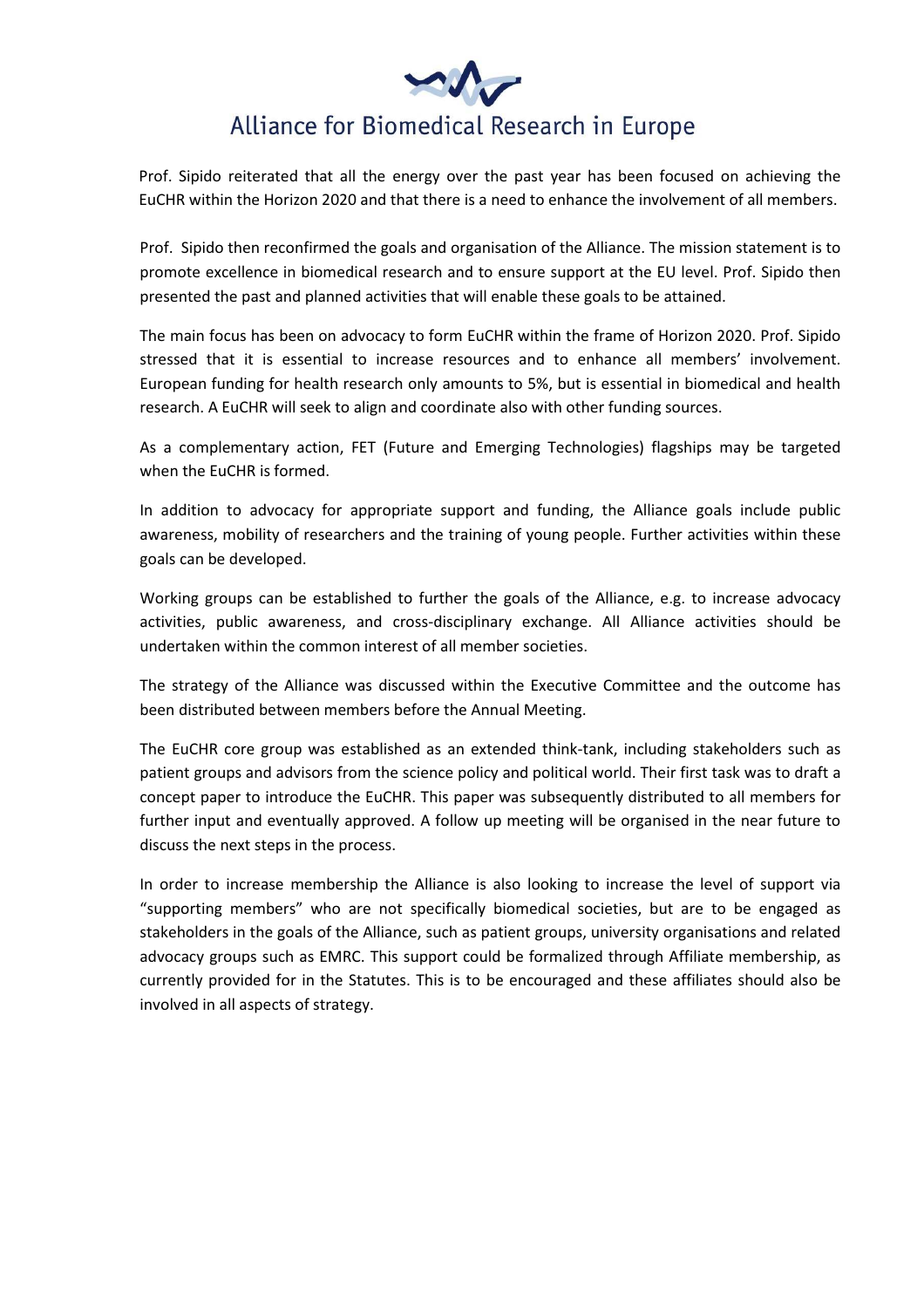

Prof. Sipido reiterated that all the energy over the past year has been focused on achieving the EuCHR within the Horizon 2020 and that there is a need to enhance the involvement of all members.

Prof. Sipido then reconfirmed the goals and organisation of the Alliance. The mission statement is to promote excellence in biomedical research and to ensure support at the EU level. Prof. Sipido then presented the past and planned activities that will enable these goals to be attained.

The main focus has been on advocacy to form EuCHR within the frame of Horizon 2020. Prof. Sipido stressed that it is essential to increase resources and to enhance all members' involvement. European funding for health research only amounts to 5%, but is essential in biomedical and health research. A EuCHR will seek to align and coordinate also with other funding sources.

As a complementary action, FET (Future and Emerging Technologies) flagships may be targeted when the EuCHR is formed.

In addition to advocacy for appropriate support and funding, the Alliance goals include public awareness, mobility of researchers and the training of young people. Further activities within these goals can be developed.

Working groups can be established to further the goals of the Alliance, e.g. to increase advocacy activities, public awareness, and cross-disciplinary exchange. All Alliance activities should be undertaken within the common interest of all member societies.

The strategy of the Alliance was discussed within the Executive Committee and the outcome has been distributed between members before the Annual Meeting.

The EuCHR core group was established as an extended think-tank, including stakeholders such as patient groups and advisors from the science policy and political world. Their first task was to draft a concept paper to introduce the EuCHR. This paper was subsequently distributed to all members for further input and eventually approved. A follow up meeting will be organised in the near future to discuss the next steps in the process.

In order to increase membership the Alliance is also looking to increase the level of support via "supporting members" who are not specifically biomedical societies, but are to be engaged as stakeholders in the goals of the Alliance, such as patient groups, university organisations and related advocacy groups such as EMRC. This support could be formalized through Affiliate membership, as currently provided for in the Statutes. This is to be encouraged and these affiliates should also be involved in all aspects of strategy.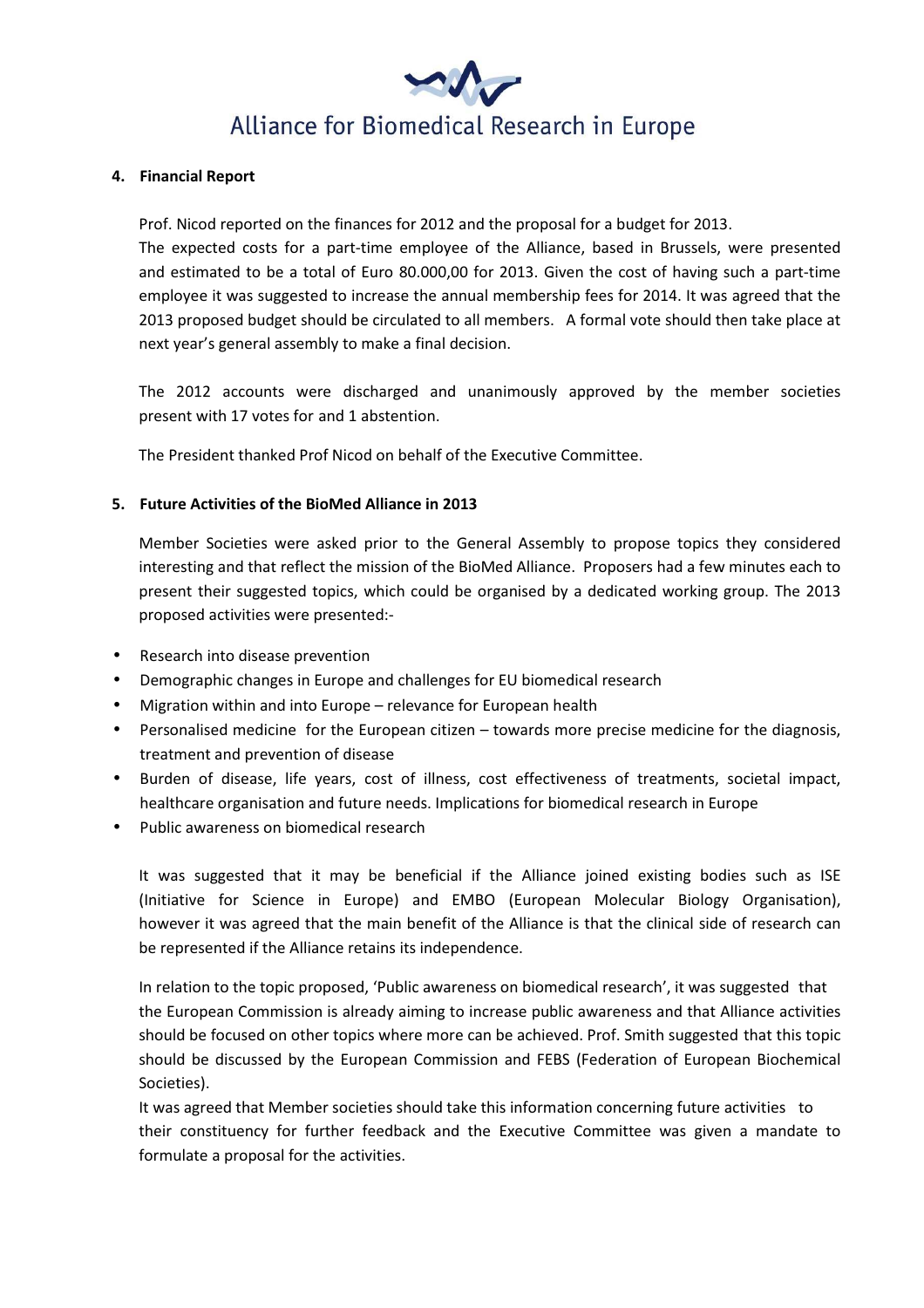# Alliance for Biomedical Research in Europe

#### 4. Financial Report

 Prof. Nicod reported on the finances for 2012 and the proposal for a budget for 2013. The expected costs for a part-time employee of the Alliance, based in Brussels, were presented and estimated to be a total of Euro 80.000,00 for 2013. Given the cost of having such a part-time employee it was suggested to increase the annual membership fees for 2014. It was agreed that the 2013 proposed budget should be circulated to all members. A formal vote should then take place at next year's general assembly to make a final decision.

 The 2012 accounts were discharged and unanimously approved by the member societies present with 17 votes for and 1 abstention.

The President thanked Prof Nicod on behalf of the Executive Committee.

## 5. Future Activities of the BioMed Alliance in 2013

 Member Societies were asked prior to the General Assembly to propose topics they considered interesting and that reflect the mission of the BioMed Alliance. Proposers had a few minutes each to present their suggested topics, which could be organised by a dedicated working group. The 2013 proposed activities were presented:-

- Research into disease prevention
- Demographic changes in Europe and challenges for EU biomedical research
- Migration within and into Europe relevance for European health
- Personalised medicine for the European citizen towards more precise medicine for the diagnosis, treatment and prevention of disease
- Burden of disease, life years, cost of illness, cost effectiveness of treatments, societal impact, healthcare organisation and future needs. Implications for biomedical research in Europe
- Public awareness on biomedical research

 It was suggested that it may be beneficial if the Alliance joined existing bodies such as ISE (Initiative for Science in Europe) and EMBO (European Molecular Biology Organisation), however it was agreed that the main benefit of the Alliance is that the clinical side of research can be represented if the Alliance retains its independence.

In relation to the topic proposed, 'Public awareness on biomedical research', it was suggested that the European Commission is already aiming to increase public awareness and that Alliance activities should be focused on other topics where more can be achieved. Prof. Smith suggested that this topic should be discussed by the European Commission and FEBS (Federation of European Biochemical Societies).

 It was agreed that Member societies should take this information concerning future activities to their constituency for further feedback and the Executive Committee was given a mandate to formulate a proposal for the activities.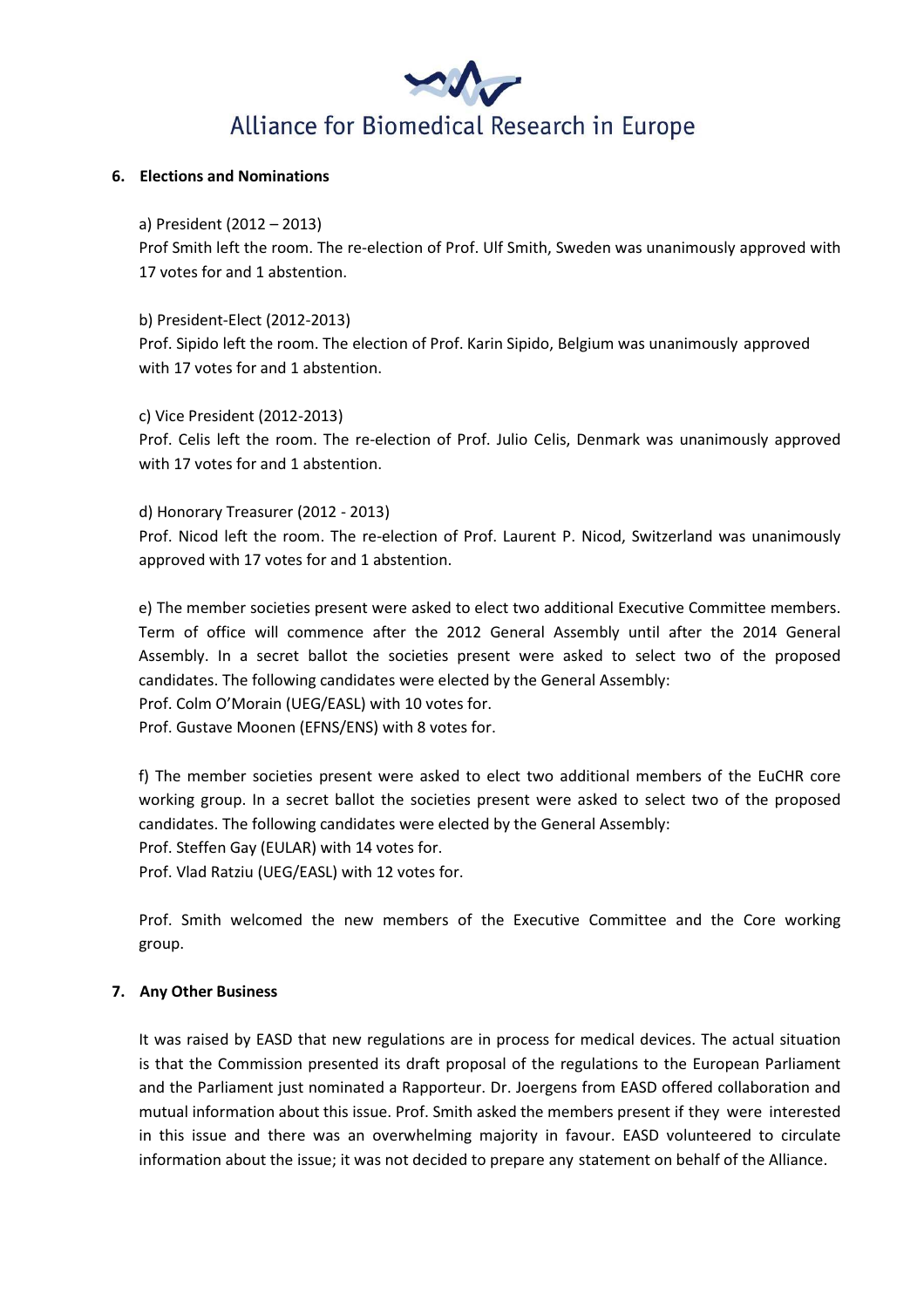

### 6. Elections and Nominations

### a) President (2012 – 2013)

 Prof Smith left the room. The re-election of Prof. Ulf Smith, Sweden was unanimously approved with 17 votes for and 1 abstention.

 b) President-Elect (2012-2013) Prof. Sipido left the room. The election of Prof. Karin Sipido, Belgium was unanimously approved with 17 votes for and 1 abstention.

c) Vice President (2012-2013)

 Prof. Celis left the room. The re-election of Prof. Julio Celis, Denmark was unanimously approved with 17 votes for and 1 abstention.

d) Honorary Treasurer (2012 - 2013)

 Prof. Nicod left the room. The re-election of Prof. Laurent P. Nicod, Switzerland was unanimously approved with 17 votes for and 1 abstention.

e) The member societies present were asked to elect two additional Executive Committee members. Term of office will commence after the 2012 General Assembly until after the 2014 General Assembly. In a secret ballot the societies present were asked to select two of the proposed candidates. The following candidates were elected by the General Assembly:

Prof. Colm O'Morain (UEG/EASL) with 10 votes for.

Prof. Gustave Moonen (EFNS/ENS) with 8 votes for.

f) The member societies present were asked to elect two additional members of the EuCHR core working group. In a secret ballot the societies present were asked to select two of the proposed candidates. The following candidates were elected by the General Assembly:

Prof. Steffen Gay (EULAR) with 14 votes for.

Prof. Vlad Ratziu (UEG/EASL) with 12 votes for.

 Prof. Smith welcomed the new members of the Executive Committee and the Core working group.

### 7. Any Other Business

It was raised by EASD that new regulations are in process for medical devices. The actual situation is that the Commission presented its draft proposal of the regulations to the European Parliament and the Parliament just nominated a Rapporteur. Dr. Joergens from EASD offered collaboration and mutual information about this issue. Prof. Smith asked the members present if they were interested in this issue and there was an overwhelming majority in favour. EASD volunteered to circulate information about the issue; it was not decided to prepare any statement on behalf of the Alliance.